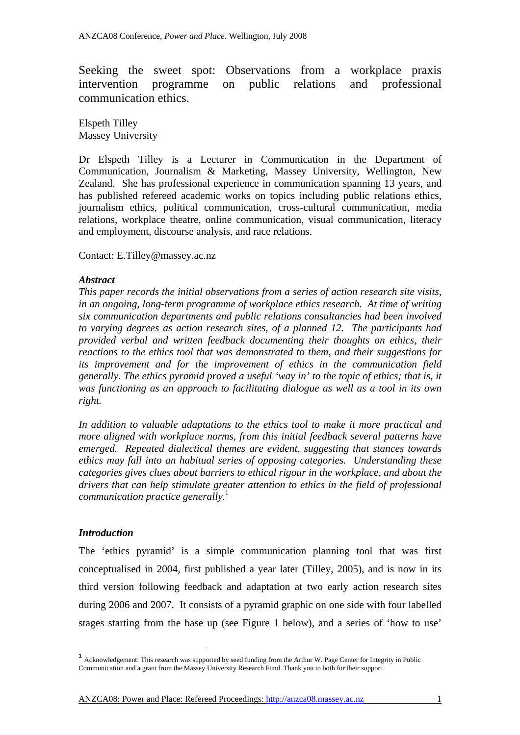Seeking the sweet spot: Observations from a workplace praxis intervention programme on public relations and professional communication ethics.

Elspeth Tilley Massey University

Dr Elspeth Tilley is a Lecturer in Communication in the Department of Communication, Journalism & Marketing, Massey University, Wellington, New Zealand. She has professional experience in communication spanning 13 years, and has published refereed academic works on topics including public relations ethics, journalism ethics, political communication, cross-cultural communication, media relations, workplace theatre, online communication, visual communication, literacy and employment, discourse analysis, and race relations.

Contact: E.Tilley@massey.ac.nz

# *Abstract*

*This paper records the initial observations from a series of action research site visits, in an ongoing, long-term programme of workplace ethics research. At time of writing six communication departments and public relations consultancies had been involved to varying degrees as action research sites, of a planned 12. The participants had provided verbal and written feedback documenting their thoughts on ethics, their reactions to the ethics tool that was demonstrated to them, and their suggestions for its improvement and for the improvement of ethics in the communication field generally. The ethics pyramid proved a useful 'way in' to the topic of ethics; that is, it was functioning as an approach to facilitating dialogue as well as a tool in its own right.* 

*In addition to valuable adaptations to the ethics tool to make it more practical and more aligned with workplace norms, from this initial feedback several patterns have emerged. Repeated dialectical themes are evident, suggesting that stances towards ethics may fall into an habitual series of opposing categories. Understanding these categories gives clues about barriers to ethical rigour in the workplace, and about the drivers that can help stimulate greater attention to ethics in the field of professional communication practice generally.*<sup>1</sup>

# *Introduction*

l

The 'ethics pyramid' is a simple communication planning tool that was first conceptualised in 2004, first published a year later (Tilley, 2005), and is now in its third version following feedback and adaptation at two early action research sites during 2006 and 2007. It consists of a pyramid graphic on one side with four labelled stages starting from the base up (see Figure 1 below), and a series of 'how to use'

**<sup>1</sup>** Acknowledgement: This research was supported by seed funding from the Arthur W. Page Center for Integrity in Public Communication and a grant from the Massey University Research Fund. Thank you to both for their support.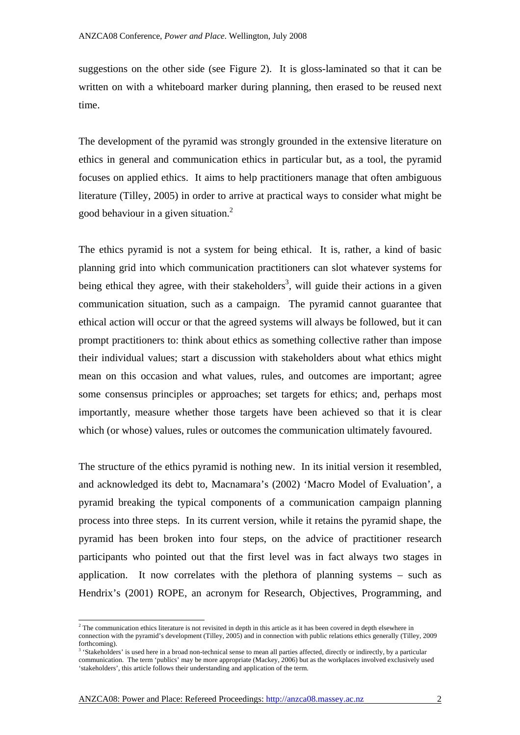suggestions on the other side (see Figure 2). It is gloss-laminated so that it can be written on with a whiteboard marker during planning, then erased to be reused next time.

The development of the pyramid was strongly grounded in the extensive literature on ethics in general and communication ethics in particular but, as a tool, the pyramid focuses on applied ethics. It aims to help practitioners manage that often ambiguous literature (Tilley, 2005) in order to arrive at practical ways to consider what might be good behaviour in a given situation.2

The ethics pyramid is not a system for being ethical. It is, rather, a kind of basic planning grid into which communication practitioners can slot whatever systems for being ethical they agree, with their stakeholders<sup>3</sup>, will guide their actions in a given communication situation, such as a campaign. The pyramid cannot guarantee that ethical action will occur or that the agreed systems will always be followed, but it can prompt practitioners to: think about ethics as something collective rather than impose their individual values; start a discussion with stakeholders about what ethics might mean on this occasion and what values, rules, and outcomes are important; agree some consensus principles or approaches; set targets for ethics; and, perhaps most importantly, measure whether those targets have been achieved so that it is clear which (or whose) values, rules or outcomes the communication ultimately favoured.

The structure of the ethics pyramid is nothing new. In its initial version it resembled, and acknowledged its debt to, Macnamara's (2002) 'Macro Model of Evaluation', a pyramid breaking the typical components of a communication campaign planning process into three steps. In its current version, while it retains the pyramid shape, the pyramid has been broken into four steps, on the advice of practitioner research participants who pointed out that the first level was in fact always two stages in application. It now correlates with the plethora of planning systems – such as Hendrix's (2001) ROPE, an acronym for Research, Objectives, Programming, and

l

<sup>&</sup>lt;sup>2</sup> The communication ethics literature is not revisited in depth in this article as it has been covered in depth elsewhere in connection with the pyramid's development (Tilley, 2005) and in connection with public relations ethics generally (Tilley, 2009 forthcoming).

<sup>&</sup>lt;sup>3</sup> 'Stakeholders' is used here in a broad non-technical sense to mean all parties affected, directly or indirectly, by a particular communication. The term 'publics' may be more appropriate (Mackey, 2006) but as the workplaces involved exclusively used 'stakeholders', this article follows their understanding and application of the term.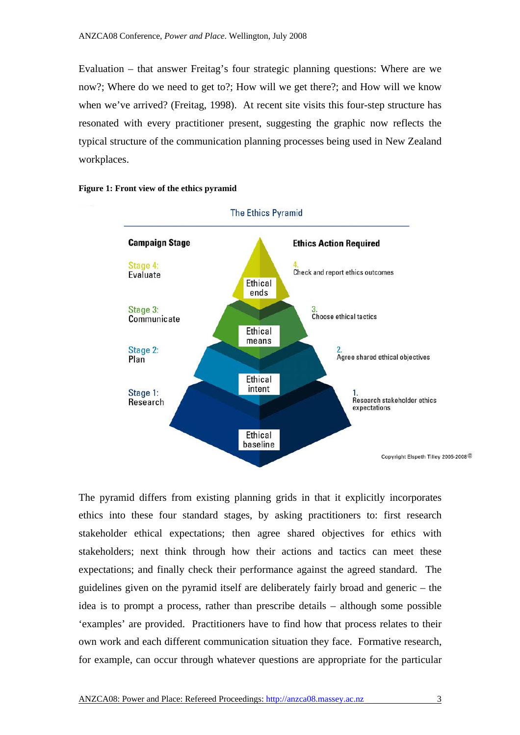Evaluation – that answer Freitag's four strategic planning questions: Where are we now?; Where do we need to get to?; How will we get there?; and How will we know when we've arrived? (Freitag, 1998). At recent site visits this four-step structure has resonated with every practitioner present, suggesting the graphic now reflects the typical structure of the communication planning processes being used in New Zealand workplaces.



#### **Figure 1: Front view of the ethics pyramid**

The pyramid differs from existing planning grids in that it explicitly incorporates ethics into these four standard stages, by asking practitioners to: first research stakeholder ethical expectations; then agree shared objectives for ethics with stakeholders; next think through how their actions and tactics can meet these expectations; and finally check their performance against the agreed standard. The guidelines given on the pyramid itself are deliberately fairly broad and generic – the idea is to prompt a process, rather than prescribe details – although some possible 'examples' are provided. Practitioners have to find how that process relates to their own work and each different communication situation they face. Formative research, for example, can occur through whatever questions are appropriate for the particular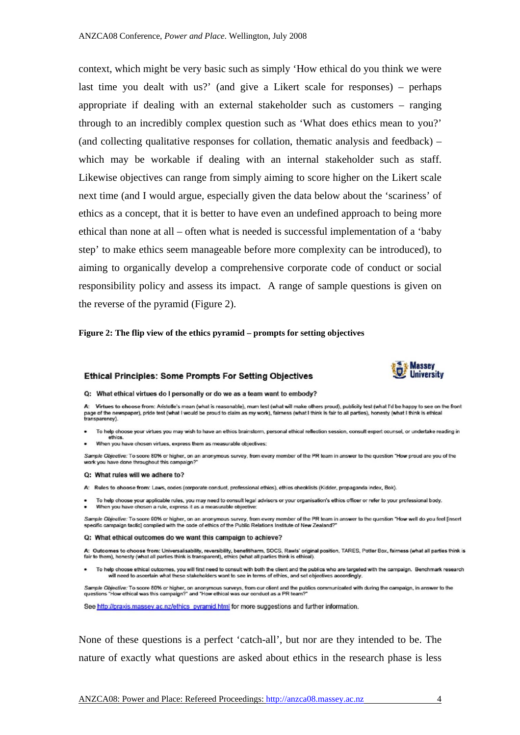context, which might be very basic such as simply 'How ethical do you think we were last time you dealt with us?' (and give a Likert scale for responses) – perhaps appropriate if dealing with an external stakeholder such as customers – ranging through to an incredibly complex question such as 'What does ethics mean to you?' (and collecting qualitative responses for collation, thematic analysis and feedback) – which may be workable if dealing with an internal stakeholder such as staff. Likewise objectives can range from simply aiming to score higher on the Likert scale next time (and I would argue, especially given the data below about the 'scariness' of ethics as a concept, that it is better to have even an undefined approach to being more ethical than none at all – often what is needed is successful implementation of a 'baby step' to make ethics seem manageable before more complexity can be introduced), to aiming to organically develop a comprehensive corporate code of conduct or social responsibility policy and assess its impact. A range of sample questions is given on the reverse of the pyramid (Figure 2).

#### **Figure 2: The flip view of the ethics pyramid – prompts for setting objectives**

#### **Ethical Principles: Some Prompts For Setting Objectives**



#### Q: What ethical virtues do I personally or do we as a team want to embody?

A: Virtues to choose from: Aristotle's mean (what is reasonable), mum test (what will make others proud), publicity test (what I'd be happy to see on the front page of the newspaper), pride test (what I would be proud to claim as my work), fairness (what I think is fair to all parties), honesty (what I think is ethical transparency).

- To help choose your virtues you may wish to have an ethics brainstorm, personal ethical reflection session, consult expert counsel, or undertake reading in
- When you have chosen virtues, express them as measurable objectives:

Sample Objective: To score 80% or higher, on an anonymous survey, from every member of the PR team in answer to the question "How proud are you of the work you have done throughout this campaign?

#### Q: What rules will we adhere to?

- A: Rules to choose from: Laws, codes (corporate conduct, professional ethics), ethics checklists (Kidder, propaganda index, Bok).
- To help choose your applicable rules, you may need to consult legal advisors or your organisation's ethics officer or refer to your professional body. When you have chosen a rule, express it as a measurable objective

Sample Objective: To score 90% or higher, on an anonymous survey, from every member of the PR team in answer to the question "How well do you feel [insert<br>specific campaign tactic] complied with the code of ethics of the P

#### Q: What ethical outcomes do we want this campaign to achieve?

A: Outcomes to choose from: Universalisability, reversibility, benefit/harm, SOCS, Rawls' original position, TARES, Potter Box, fairness (what all parties think is<br>fair to them), honesty (what all parties think is transpar

. To help choose ethical outcomes, you will first need to consult with both the client and the publics who are targeted with the campaign. Benchmark research .<br>vill need to ascertain what these stakeholders want to see in terms of ethics, and set objectives accordingly.

Sample Objective: To score 80% or higher, on anonymous surveys, from our client and the publics communicated with during the campaign, in answer to the<br>questions "How ethical was this campaign?" and "How ethical was our co

See http://praxis.massey.ac.nz/ethics\_pyramid.html for more suggestions and further information.

None of these questions is a perfect 'catch-all', but nor are they intended to be. The nature of exactly what questions are asked about ethics in the research phase is less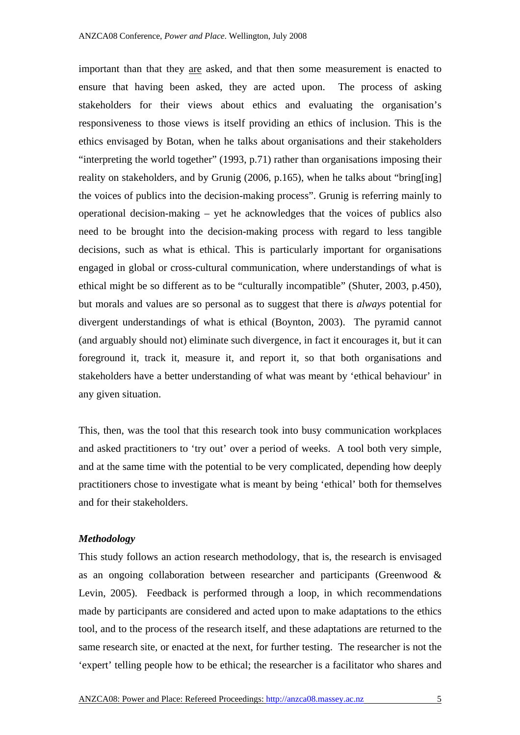important than that they are asked, and that then some measurement is enacted to ensure that having been asked, they are acted upon. The process of asking stakeholders for their views about ethics and evaluating the organisation's responsiveness to those views is itself providing an ethics of inclusion. This is the ethics envisaged by Botan, when he talks about organisations and their stakeholders "interpreting the world together" (1993, p.71) rather than organisations imposing their reality on stakeholders, and by Grunig (2006, p.165), when he talks about "bring[ing] the voices of publics into the decision-making process". Grunig is referring mainly to operational decision-making – yet he acknowledges that the voices of publics also need to be brought into the decision-making process with regard to less tangible decisions, such as what is ethical. This is particularly important for organisations engaged in global or cross-cultural communication, where understandings of what is ethical might be so different as to be "culturally incompatible" (Shuter, 2003, p.450), but morals and values are so personal as to suggest that there is *always* potential for divergent understandings of what is ethical (Boynton, 2003). The pyramid cannot (and arguably should not) eliminate such divergence, in fact it encourages it, but it can foreground it, track it, measure it, and report it, so that both organisations and stakeholders have a better understanding of what was meant by 'ethical behaviour' in any given situation.

This, then, was the tool that this research took into busy communication workplaces and asked practitioners to 'try out' over a period of weeks. A tool both very simple, and at the same time with the potential to be very complicated, depending how deeply practitioners chose to investigate what is meant by being 'ethical' both for themselves and for their stakeholders.

# *Methodology*

This study follows an action research methodology, that is, the research is envisaged as an ongoing collaboration between researcher and participants (Greenwood & Levin, 2005). Feedback is performed through a loop, in which recommendations made by participants are considered and acted upon to make adaptations to the ethics tool, and to the process of the research itself, and these adaptations are returned to the same research site, or enacted at the next, for further testing. The researcher is not the 'expert' telling people how to be ethical; the researcher is a facilitator who shares and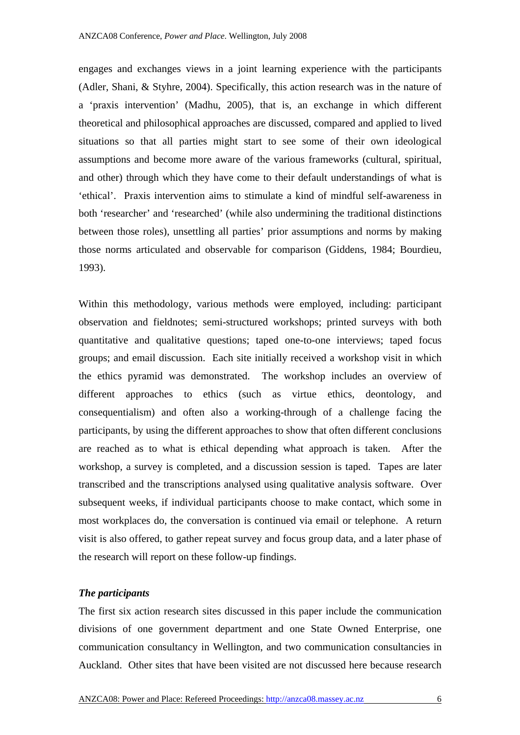engages and exchanges views in a joint learning experience with the participants (Adler, Shani, & Styhre, 2004). Specifically, this action research was in the nature of a 'praxis intervention' (Madhu, 2005), that is, an exchange in which different theoretical and philosophical approaches are discussed, compared and applied to lived situations so that all parties might start to see some of their own ideological assumptions and become more aware of the various frameworks (cultural, spiritual, and other) through which they have come to their default understandings of what is 'ethical'. Praxis intervention aims to stimulate a kind of mindful self-awareness in both 'researcher' and 'researched' (while also undermining the traditional distinctions between those roles), unsettling all parties' prior assumptions and norms by making those norms articulated and observable for comparison (Giddens, 1984; Bourdieu, 1993).

Within this methodology, various methods were employed, including: participant observation and fieldnotes; semi-structured workshops; printed surveys with both quantitative and qualitative questions; taped one-to-one interviews; taped focus groups; and email discussion. Each site initially received a workshop visit in which the ethics pyramid was demonstrated. The workshop includes an overview of different approaches to ethics (such as virtue ethics, deontology, and consequentialism) and often also a working-through of a challenge facing the participants, by using the different approaches to show that often different conclusions are reached as to what is ethical depending what approach is taken. After the workshop, a survey is completed, and a discussion session is taped. Tapes are later transcribed and the transcriptions analysed using qualitative analysis software. Over subsequent weeks, if individual participants choose to make contact, which some in most workplaces do, the conversation is continued via email or telephone. A return visit is also offered, to gather repeat survey and focus group data, and a later phase of the research will report on these follow-up findings.

## *The participants*

The first six action research sites discussed in this paper include the communication divisions of one government department and one State Owned Enterprise, one communication consultancy in Wellington, and two communication consultancies in Auckland. Other sites that have been visited are not discussed here because research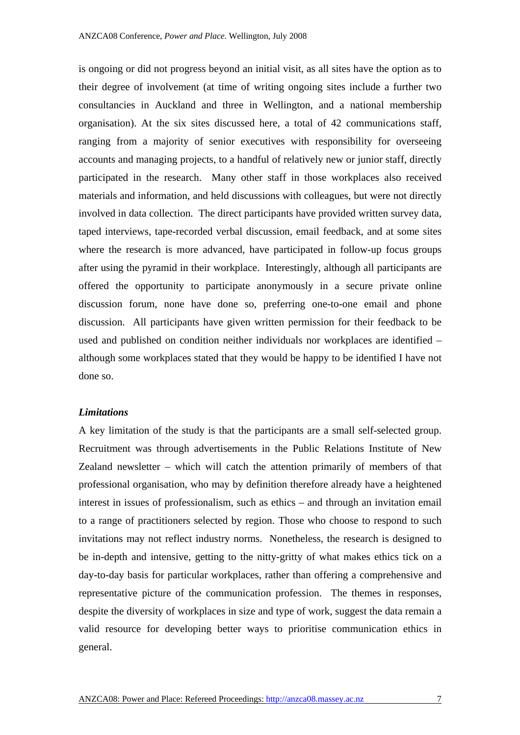is ongoing or did not progress beyond an initial visit, as all sites have the option as to their degree of involvement (at time of writing ongoing sites include a further two consultancies in Auckland and three in Wellington, and a national membership organisation). At the six sites discussed here, a total of 42 communications staff, ranging from a majority of senior executives with responsibility for overseeing accounts and managing projects, to a handful of relatively new or junior staff, directly participated in the research. Many other staff in those workplaces also received materials and information, and held discussions with colleagues, but were not directly involved in data collection. The direct participants have provided written survey data, taped interviews, tape-recorded verbal discussion, email feedback, and at some sites where the research is more advanced, have participated in follow-up focus groups after using the pyramid in their workplace. Interestingly, although all participants are offered the opportunity to participate anonymously in a secure private online discussion forum, none have done so, preferring one-to-one email and phone discussion. All participants have given written permission for their feedback to be used and published on condition neither individuals nor workplaces are identified – although some workplaces stated that they would be happy to be identified I have not done so.

### *Limitations*

A key limitation of the study is that the participants are a small self-selected group. Recruitment was through advertisements in the Public Relations Institute of New Zealand newsletter – which will catch the attention primarily of members of that professional organisation, who may by definition therefore already have a heightened interest in issues of professionalism, such as ethics – and through an invitation email to a range of practitioners selected by region. Those who choose to respond to such invitations may not reflect industry norms. Nonetheless, the research is designed to be in-depth and intensive, getting to the nitty-gritty of what makes ethics tick on a day-to-day basis for particular workplaces, rather than offering a comprehensive and representative picture of the communication profession. The themes in responses, despite the diversity of workplaces in size and type of work, suggest the data remain a valid resource for developing better ways to prioritise communication ethics in general.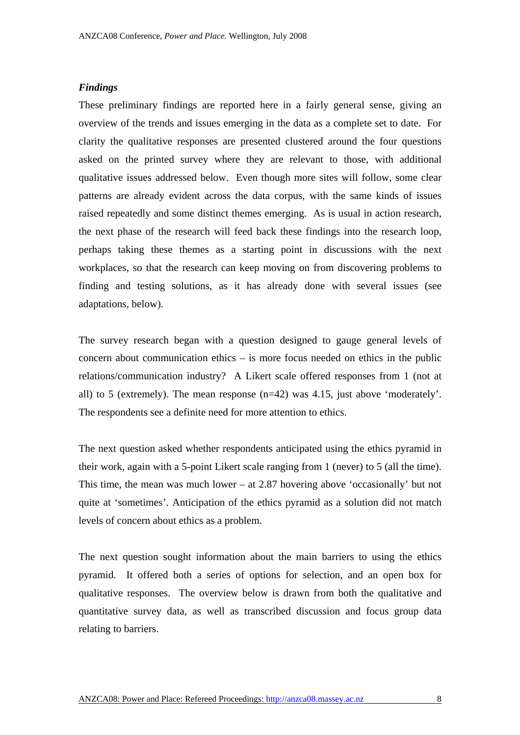### *Findings*

These preliminary findings are reported here in a fairly general sense, giving an overview of the trends and issues emerging in the data as a complete set to date. For clarity the qualitative responses are presented clustered around the four questions asked on the printed survey where they are relevant to those, with additional qualitative issues addressed below. Even though more sites will follow, some clear patterns are already evident across the data corpus, with the same kinds of issues raised repeatedly and some distinct themes emerging. As is usual in action research, the next phase of the research will feed back these findings into the research loop, perhaps taking these themes as a starting point in discussions with the next workplaces, so that the research can keep moving on from discovering problems to finding and testing solutions, as it has already done with several issues (see adaptations, below).

The survey research began with a question designed to gauge general levels of concern about communication ethics – is more focus needed on ethics in the public relations/communication industry? A Likert scale offered responses from 1 (not at all) to 5 (extremely). The mean response (n=42) was 4.15, just above 'moderately'. The respondents see a definite need for more attention to ethics.

The next question asked whether respondents anticipated using the ethics pyramid in their work, again with a 5-point Likert scale ranging from 1 (never) to 5 (all the time). This time, the mean was much lower – at 2.87 hovering above 'occasionally' but not quite at 'sometimes'. Anticipation of the ethics pyramid as a solution did not match levels of concern about ethics as a problem.

The next question sought information about the main barriers to using the ethics pyramid. It offered both a series of options for selection, and an open box for qualitative responses. The overview below is drawn from both the qualitative and quantitative survey data, as well as transcribed discussion and focus group data relating to barriers.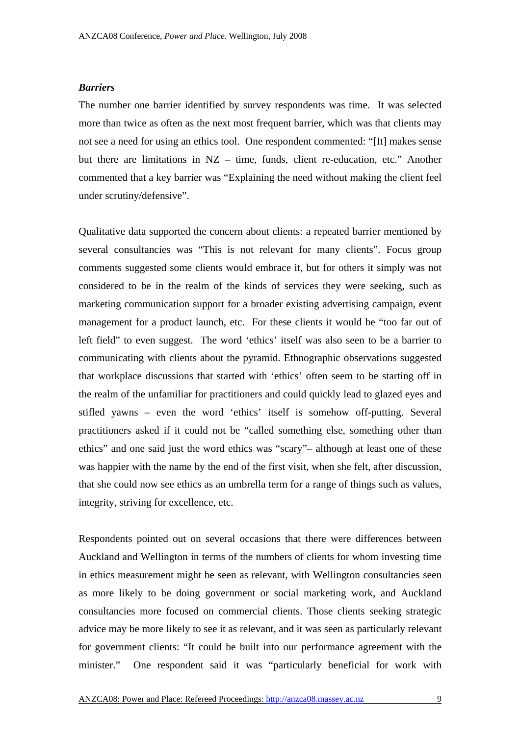#### *Barriers*

The number one barrier identified by survey respondents was time. It was selected more than twice as often as the next most frequent barrier, which was that clients may not see a need for using an ethics tool. One respondent commented: "[It] makes sense but there are limitations in NZ – time, funds, client re-education, etc." Another commented that a key barrier was "Explaining the need without making the client feel under scrutiny/defensive".

Qualitative data supported the concern about clients: a repeated barrier mentioned by several consultancies was "This is not relevant for many clients". Focus group comments suggested some clients would embrace it, but for others it simply was not considered to be in the realm of the kinds of services they were seeking, such as marketing communication support for a broader existing advertising campaign, event management for a product launch, etc. For these clients it would be "too far out of left field" to even suggest. The word 'ethics' itself was also seen to be a barrier to communicating with clients about the pyramid. Ethnographic observations suggested that workplace discussions that started with 'ethics' often seem to be starting off in the realm of the unfamiliar for practitioners and could quickly lead to glazed eyes and stifled yawns – even the word 'ethics' itself is somehow off-putting. Several practitioners asked if it could not be "called something else, something other than ethics" and one said just the word ethics was "scary"– although at least one of these was happier with the name by the end of the first visit, when she felt, after discussion, that she could now see ethics as an umbrella term for a range of things such as values, integrity, striving for excellence, etc.

Respondents pointed out on several occasions that there were differences between Auckland and Wellington in terms of the numbers of clients for whom investing time in ethics measurement might be seen as relevant, with Wellington consultancies seen as more likely to be doing government or social marketing work, and Auckland consultancies more focused on commercial clients. Those clients seeking strategic advice may be more likely to see it as relevant, and it was seen as particularly relevant for government clients: "It could be built into our performance agreement with the minister." One respondent said it was "particularly beneficial for work with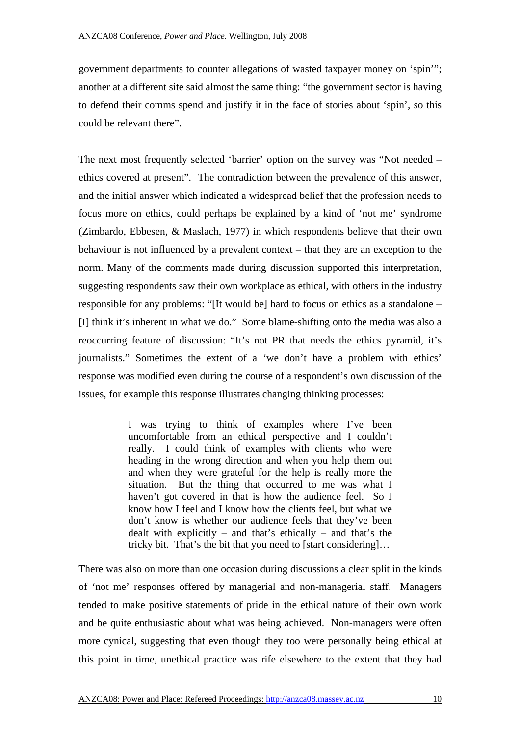government departments to counter allegations of wasted taxpayer money on 'spin'"; another at a different site said almost the same thing: "the government sector is having to defend their comms spend and justify it in the face of stories about 'spin', so this could be relevant there".

The next most frequently selected 'barrier' option on the survey was "Not needed – ethics covered at present". The contradiction between the prevalence of this answer, and the initial answer which indicated a widespread belief that the profession needs to focus more on ethics, could perhaps be explained by a kind of 'not me' syndrome (Zimbardo, Ebbesen, & Maslach, 1977) in which respondents believe that their own behaviour is not influenced by a prevalent context – that they are an exception to the norm. Many of the comments made during discussion supported this interpretation, suggesting respondents saw their own workplace as ethical, with others in the industry responsible for any problems: "[It would be] hard to focus on ethics as a standalone – [I] think it's inherent in what we do." Some blame-shifting onto the media was also a reoccurring feature of discussion: "It's not PR that needs the ethics pyramid, it's journalists." Sometimes the extent of a 'we don't have a problem with ethics' response was modified even during the course of a respondent's own discussion of the issues, for example this response illustrates changing thinking processes:

> I was trying to think of examples where I've been uncomfortable from an ethical perspective and I couldn't really. I could think of examples with clients who were heading in the wrong direction and when you help them out and when they were grateful for the help is really more the situation. But the thing that occurred to me was what I haven't got covered in that is how the audience feel. So I know how I feel and I know how the clients feel, but what we don't know is whether our audience feels that they've been dealt with explicitly – and that's ethically – and that's the tricky bit. That's the bit that you need to [start considering]…

There was also on more than one occasion during discussions a clear split in the kinds of 'not me' responses offered by managerial and non-managerial staff. Managers tended to make positive statements of pride in the ethical nature of their own work and be quite enthusiastic about what was being achieved. Non-managers were often more cynical, suggesting that even though they too were personally being ethical at this point in time, unethical practice was rife elsewhere to the extent that they had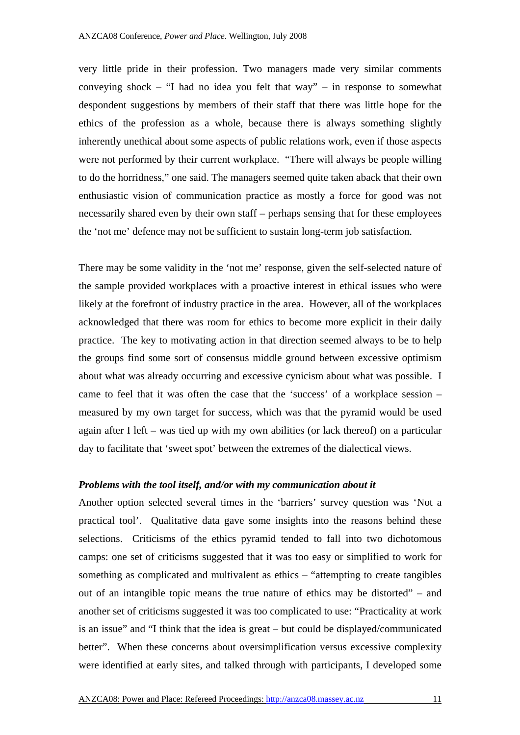very little pride in their profession. Two managers made very similar comments conveying shock – "I had no idea you felt that way" – in response to somewhat despondent suggestions by members of their staff that there was little hope for the ethics of the profession as a whole, because there is always something slightly inherently unethical about some aspects of public relations work, even if those aspects were not performed by their current workplace. "There will always be people willing to do the horridness," one said. The managers seemed quite taken aback that their own enthusiastic vision of communication practice as mostly a force for good was not necessarily shared even by their own staff – perhaps sensing that for these employees the 'not me' defence may not be sufficient to sustain long-term job satisfaction.

There may be some validity in the 'not me' response, given the self-selected nature of the sample provided workplaces with a proactive interest in ethical issues who were likely at the forefront of industry practice in the area. However, all of the workplaces acknowledged that there was room for ethics to become more explicit in their daily practice. The key to motivating action in that direction seemed always to be to help the groups find some sort of consensus middle ground between excessive optimism about what was already occurring and excessive cynicism about what was possible. I came to feel that it was often the case that the 'success' of a workplace session – measured by my own target for success, which was that the pyramid would be used again after I left – was tied up with my own abilities (or lack thereof) on a particular day to facilitate that 'sweet spot' between the extremes of the dialectical views.

### *Problems with the tool itself, and/or with my communication about it*

Another option selected several times in the 'barriers' survey question was 'Not a practical tool'. Qualitative data gave some insights into the reasons behind these selections. Criticisms of the ethics pyramid tended to fall into two dichotomous camps: one set of criticisms suggested that it was too easy or simplified to work for something as complicated and multivalent as ethics – "attempting to create tangibles out of an intangible topic means the true nature of ethics may be distorted" – and another set of criticisms suggested it was too complicated to use: "Practicality at work is an issue" and "I think that the idea is great – but could be displayed/communicated better". When these concerns about oversimplification versus excessive complexity were identified at early sites, and talked through with participants, I developed some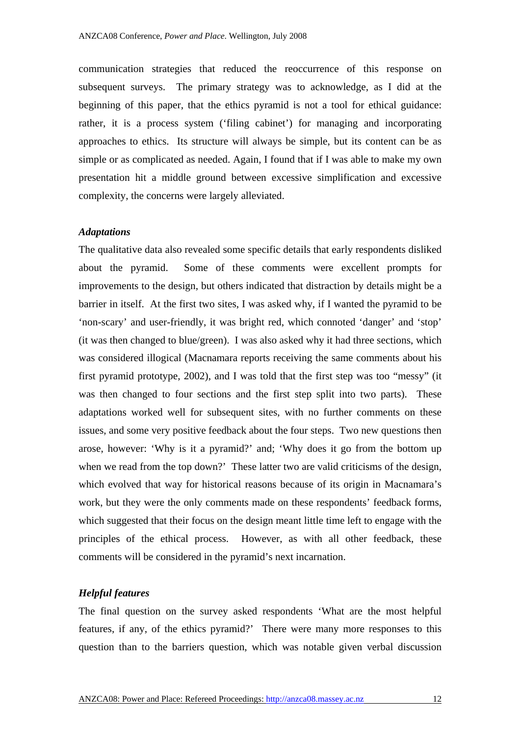communication strategies that reduced the reoccurrence of this response on subsequent surveys. The primary strategy was to acknowledge, as I did at the beginning of this paper, that the ethics pyramid is not a tool for ethical guidance: rather, it is a process system ('filing cabinet') for managing and incorporating approaches to ethics. Its structure will always be simple, but its content can be as simple or as complicated as needed. Again, I found that if I was able to make my own presentation hit a middle ground between excessive simplification and excessive complexity, the concerns were largely alleviated.

#### *Adaptations*

The qualitative data also revealed some specific details that early respondents disliked about the pyramid. Some of these comments were excellent prompts for improvements to the design, but others indicated that distraction by details might be a barrier in itself. At the first two sites, I was asked why, if I wanted the pyramid to be 'non-scary' and user-friendly, it was bright red, which connoted 'danger' and 'stop' (it was then changed to blue/green). I was also asked why it had three sections, which was considered illogical (Macnamara reports receiving the same comments about his first pyramid prototype, 2002), and I was told that the first step was too "messy" (it was then changed to four sections and the first step split into two parts). These adaptations worked well for subsequent sites, with no further comments on these issues, and some very positive feedback about the four steps. Two new questions then arose, however: 'Why is it a pyramid?' and; 'Why does it go from the bottom up when we read from the top down?' These latter two are valid criticisms of the design, which evolved that way for historical reasons because of its origin in Macnamara's work, but they were the only comments made on these respondents' feedback forms, which suggested that their focus on the design meant little time left to engage with the principles of the ethical process. However, as with all other feedback, these comments will be considered in the pyramid's next incarnation.

## *Helpful features*

The final question on the survey asked respondents 'What are the most helpful features, if any, of the ethics pyramid?' There were many more responses to this question than to the barriers question, which was notable given verbal discussion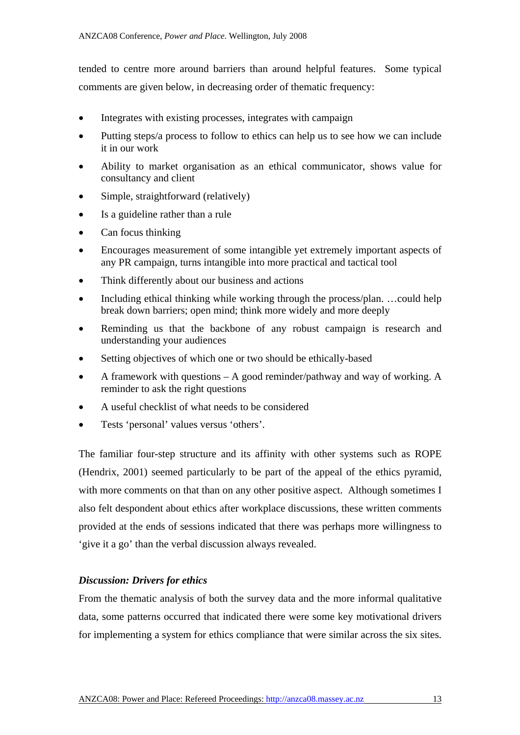tended to centre more around barriers than around helpful features. Some typical comments are given below, in decreasing order of thematic frequency:

- Integrates with existing processes, integrates with campaign
- Putting steps/a process to follow to ethics can help us to see how we can include it in our work
- Ability to market organisation as an ethical communicator, shows value for consultancy and client
- Simple, straightforward (relatively)
- Is a guideline rather than a rule
- Can focus thinking
- Encourages measurement of some intangible yet extremely important aspects of any PR campaign, turns intangible into more practical and tactical tool
- Think differently about our business and actions
- Including ethical thinking while working through the process/plan. ...could help break down barriers; open mind; think more widely and more deeply
- Reminding us that the backbone of any robust campaign is research and understanding your audiences
- Setting objectives of which one or two should be ethically-based
- A framework with questions A good reminder/pathway and way of working. A reminder to ask the right questions
- A useful checklist of what needs to be considered
- Tests 'personal' values versus 'others'.

The familiar four-step structure and its affinity with other systems such as ROPE (Hendrix, 2001) seemed particularly to be part of the appeal of the ethics pyramid, with more comments on that than on any other positive aspect. Although sometimes I also felt despondent about ethics after workplace discussions, these written comments provided at the ends of sessions indicated that there was perhaps more willingness to 'give it a go' than the verbal discussion always revealed.

# *Discussion: Drivers for ethics*

From the thematic analysis of both the survey data and the more informal qualitative data, some patterns occurred that indicated there were some key motivational drivers for implementing a system for ethics compliance that were similar across the six sites.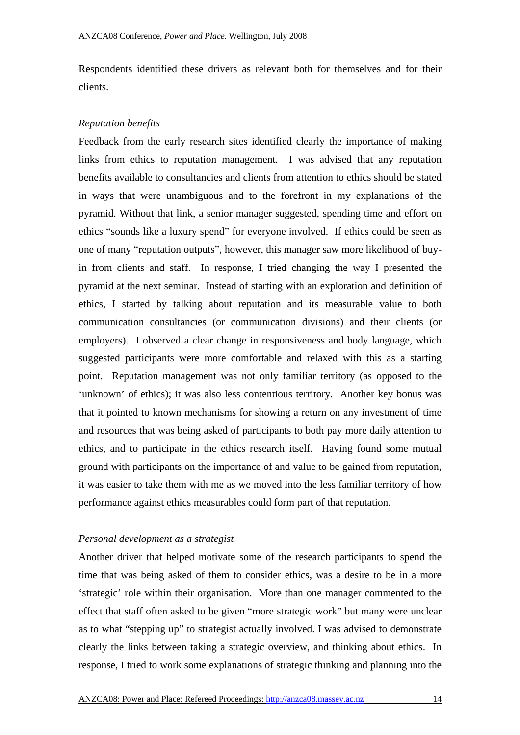Respondents identified these drivers as relevant both for themselves and for their clients.

# *Reputation benefits*

Feedback from the early research sites identified clearly the importance of making links from ethics to reputation management. I was advised that any reputation benefits available to consultancies and clients from attention to ethics should be stated in ways that were unambiguous and to the forefront in my explanations of the pyramid. Without that link, a senior manager suggested, spending time and effort on ethics "sounds like a luxury spend" for everyone involved. If ethics could be seen as one of many "reputation outputs", however, this manager saw more likelihood of buyin from clients and staff. In response, I tried changing the way I presented the pyramid at the next seminar. Instead of starting with an exploration and definition of ethics, I started by talking about reputation and its measurable value to both communication consultancies (or communication divisions) and their clients (or employers). I observed a clear change in responsiveness and body language, which suggested participants were more comfortable and relaxed with this as a starting point. Reputation management was not only familiar territory (as opposed to the 'unknown' of ethics); it was also less contentious territory. Another key bonus was that it pointed to known mechanisms for showing a return on any investment of time and resources that was being asked of participants to both pay more daily attention to ethics, and to participate in the ethics research itself. Having found some mutual ground with participants on the importance of and value to be gained from reputation, it was easier to take them with me as we moved into the less familiar territory of how performance against ethics measurables could form part of that reputation.

# *Personal development as a strategist*

Another driver that helped motivate some of the research participants to spend the time that was being asked of them to consider ethics, was a desire to be in a more 'strategic' role within their organisation. More than one manager commented to the effect that staff often asked to be given "more strategic work" but many were unclear as to what "stepping up" to strategist actually involved. I was advised to demonstrate clearly the links between taking a strategic overview, and thinking about ethics. In response, I tried to work some explanations of strategic thinking and planning into the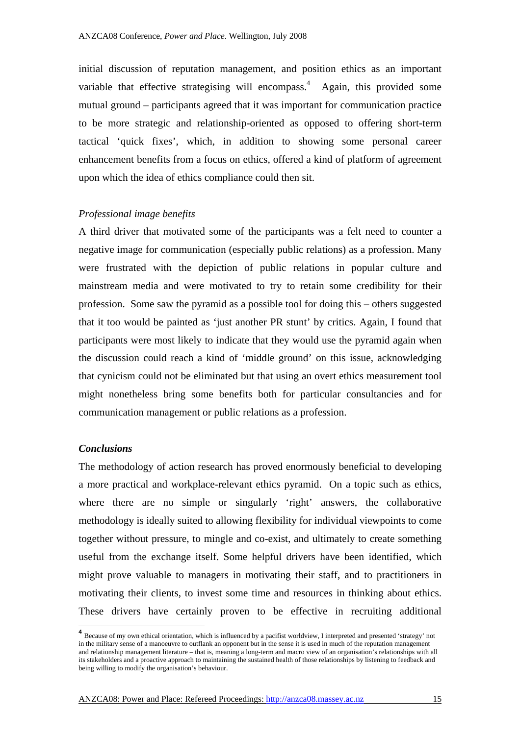initial discussion of reputation management, and position ethics as an important variable that effective strategising will encompass.<sup>4</sup> Again, this provided some mutual ground – participants agreed that it was important for communication practice to be more strategic and relationship-oriented as opposed to offering short-term tactical 'quick fixes', which, in addition to showing some personal career enhancement benefits from a focus on ethics, offered a kind of platform of agreement upon which the idea of ethics compliance could then sit.

### *Professional image benefits*

A third driver that motivated some of the participants was a felt need to counter a negative image for communication (especially public relations) as a profession. Many were frustrated with the depiction of public relations in popular culture and mainstream media and were motivated to try to retain some credibility for their profession. Some saw the pyramid as a possible tool for doing this – others suggested that it too would be painted as 'just another PR stunt' by critics. Again, I found that participants were most likely to indicate that they would use the pyramid again when the discussion could reach a kind of 'middle ground' on this issue, acknowledging that cynicism could not be eliminated but that using an overt ethics measurement tool might nonetheless bring some benefits both for particular consultancies and for communication management or public relations as a profession.

### *Conclusions*

l

The methodology of action research has proved enormously beneficial to developing a more practical and workplace-relevant ethics pyramid. On a topic such as ethics, where there are no simple or singularly 'right' answers, the collaborative methodology is ideally suited to allowing flexibility for individual viewpoints to come together without pressure, to mingle and co-exist, and ultimately to create something useful from the exchange itself. Some helpful drivers have been identified, which might prove valuable to managers in motivating their staff, and to practitioners in motivating their clients, to invest some time and resources in thinking about ethics. These drivers have certainly proven to be effective in recruiting additional

**<sup>4</sup>** Because of my own ethical orientation, which is influenced by a pacifist worldview, I interpreted and presented 'strategy' not in the military sense of a manoeuvre to outflank an opponent but in the sense it is used in much of the reputation management and relationship management literature – that is, meaning a long-term and macro view of an organisation's relationships with all its stakeholders and a proactive approach to maintaining the sustained health of those relationships by listening to feedback and being willing to modify the organisation's behaviour.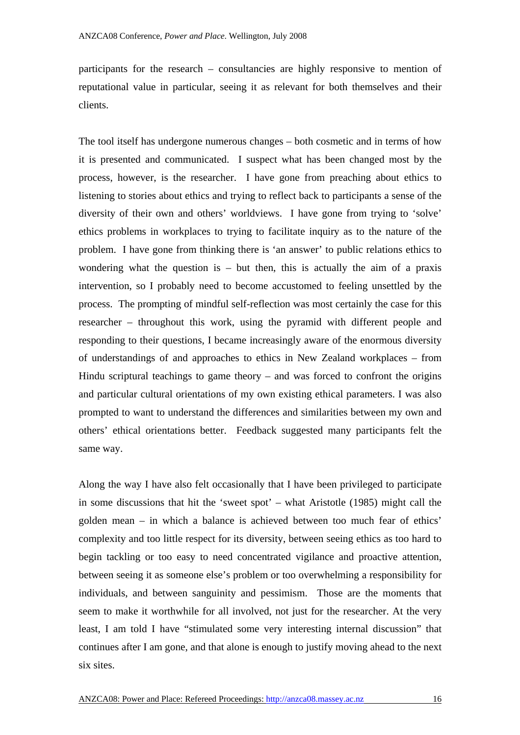participants for the research – consultancies are highly responsive to mention of reputational value in particular, seeing it as relevant for both themselves and their clients.

The tool itself has undergone numerous changes – both cosmetic and in terms of how it is presented and communicated. I suspect what has been changed most by the process, however, is the researcher. I have gone from preaching about ethics to listening to stories about ethics and trying to reflect back to participants a sense of the diversity of their own and others' worldviews. I have gone from trying to 'solve' ethics problems in workplaces to trying to facilitate inquiry as to the nature of the problem. I have gone from thinking there is 'an answer' to public relations ethics to wondering what the question is – but then, this is actually the aim of a praxis intervention, so I probably need to become accustomed to feeling unsettled by the process. The prompting of mindful self-reflection was most certainly the case for this researcher – throughout this work, using the pyramid with different people and responding to their questions, I became increasingly aware of the enormous diversity of understandings of and approaches to ethics in New Zealand workplaces – from Hindu scriptural teachings to game theory  $-$  and was forced to confront the origins and particular cultural orientations of my own existing ethical parameters. I was also prompted to want to understand the differences and similarities between my own and others' ethical orientations better. Feedback suggested many participants felt the same way.

Along the way I have also felt occasionally that I have been privileged to participate in some discussions that hit the 'sweet spot' – what Aristotle (1985) might call the golden mean – in which a balance is achieved between too much fear of ethics' complexity and too little respect for its diversity, between seeing ethics as too hard to begin tackling or too easy to need concentrated vigilance and proactive attention, between seeing it as someone else's problem or too overwhelming a responsibility for individuals, and between sanguinity and pessimism. Those are the moments that seem to make it worthwhile for all involved, not just for the researcher. At the very least, I am told I have "stimulated some very interesting internal discussion" that continues after I am gone, and that alone is enough to justify moving ahead to the next six sites.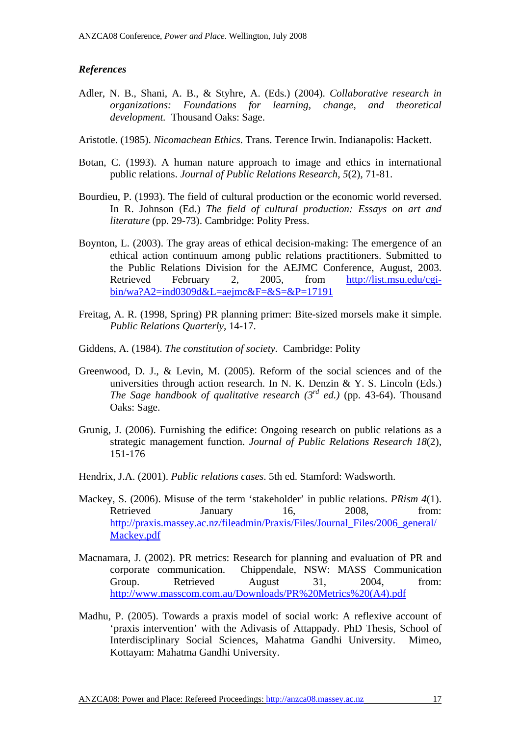# *References*

Adler, N. B., Shani, A. B., & Styhre, A. (Eds.) (2004). *Collaborative research in organizations: Foundations for learning, change, and theoretical development.* Thousand Oaks: Sage.

Aristotle. (1985). *Nicomachean Ethics*. Trans. Terence Irwin. Indianapolis: Hackett.

- Botan, C. (1993). A human nature approach to image and ethics in international public relations. *Journal of Public Relations Research*, *5*(2), 71-81.
- Bourdieu, P. (1993). The field of cultural production or the economic world reversed. In R. Johnson (Ed.) *The field of cultural production: Essays on art and literature* (pp. 29-73). Cambridge: Polity Press.
- Boynton, L. (2003). The gray areas of ethical decision-making: The emergence of an ethical action continuum among public relations practitioners. Submitted to the Public Relations Division for the AEJMC Conference, August, 2003. Retrieved February 2, 2005, from http://list.msu.edu/cgi $bin/wa?A2=ind0309d&L=aeimc&F=\&S=\&P=17191$
- Freitag, A. R. (1998, Spring) PR planning primer: Bite-sized morsels make it simple. *Public Relations Quarterly,* 14-17.
- Giddens, A. (1984). *The constitution of society.* Cambridge: Polity
- Greenwood, D. J., & Levin, M. (2005). Reform of the social sciences and of the universities through action research. In N. K. Denzin & Y. S. Lincoln (Eds.) *The Sage handbook of qualitative research (3rd ed.)* (pp. 43-64). Thousand Oaks: Sage.
- Grunig, J. (2006). Furnishing the edifice: Ongoing research on public relations as a strategic management function. *Journal of Public Relations Research 18*(2), 151-176
- Hendrix, J.A. (2001). *Public relations cases*. 5th ed. Stamford: Wadsworth.
- Mackey, S. (2006). Misuse of the term 'stakeholder' in public relations. *PRism 4*(1). Retrieved January 16, 2008, from: http://praxis.massey.ac.nz/fileadmin/Praxis/Files/Journal\_Files/2006\_general/ Mackey.pdf
- Macnamara, J. (2002). PR metrics: Research for planning and evaluation of PR and corporate communication. Chippendale, NSW: MASS Communication Group. Retrieved August 31, 2004, from: http://www.masscom.com.au/Downloads/PR%20Metrics%20(A4).pdf
- Madhu, P. (2005). Towards a praxis model of social work: A reflexive account of 'praxis intervention' with the Adivasis of Attappady. PhD Thesis, School of Interdisciplinary Social Sciences, Mahatma Gandhi University. Mimeo, Kottayam: Mahatma Gandhi University.